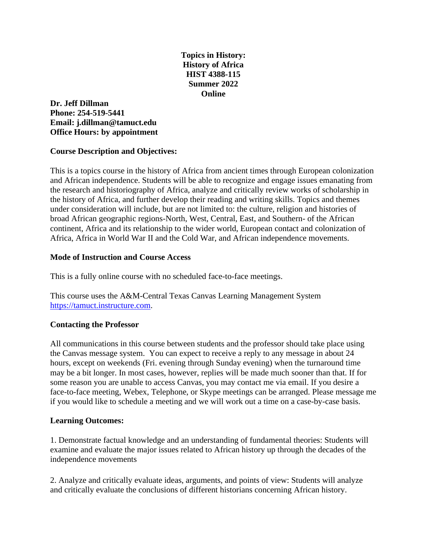# **Topics in History: History of Africa HIST 4388-115 Summer 2022 Online**

### **Dr. Jeff Dillman Phone: 254-519-5441 Email: j.dillman@tamuct.edu Office Hours: by appointment**

# **Course Description and Objectives:**

This is a topics course in the history of Africa from ancient times through European colonization and African independence. Students will be able to recognize and engage issues emanating from the research and historiography of Africa, analyze and critically review works of scholarship in the history of Africa, and further develop their reading and writing skills. Topics and themes under consideration will include, but are not limited to: the culture, religion and histories of broad African geographic regions-North, West, Central, East, and Southern- of the African continent, Africa and its relationship to the wider world, European contact and colonization of Africa, Africa in World War II and the Cold War, and African independence movements.

### **Mode of Instruction and Course Access**

This is a fully online course with no scheduled face-to-face meetings.

This course uses the A&M-Central Texas Canvas Learning Management System [https://tamuct.instructure.com.](https://tamuct.instructure.com/)

# **Contacting the Professor**

All communications in this course between students and the professor should take place using the Canvas message system. You can expect to receive a reply to any message in about 24 hours, except on weekends (Fri. evening through Sunday evening) when the turnaround time may be a bit longer. In most cases, however, replies will be made much sooner than that. If for some reason you are unable to access Canvas, you may contact me via email. If you desire a face-to-face meeting, Webex, Telephone, or Skype meetings can be arranged. Please message me if you would like to schedule a meeting and we will work out a time on a case-by-case basis.

#### **Learning Outcomes:**

1. Demonstrate factual knowledge and an understanding of fundamental theories: Students will examine and evaluate the major issues related to African history up through the decades of the independence movements

2. Analyze and critically evaluate ideas, arguments, and points of view: Students will analyze and critically evaluate the conclusions of different historians concerning African history.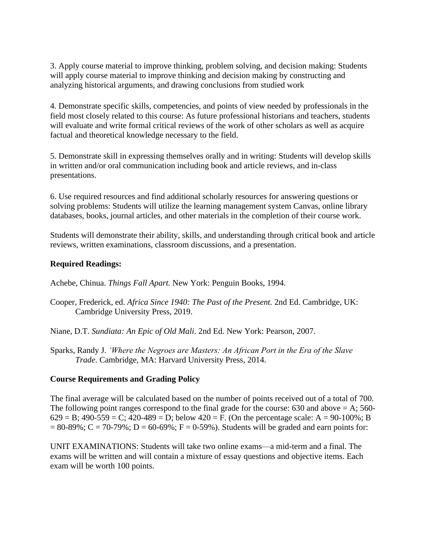3. Apply course material to improve thinking, problem solving, and decision making: Students will apply course material to improve thinking and decision making by constructing and analyzing historical arguments, and drawing conclusions from studied work

4. Demonstrate specific skills, competencies, and points of view needed by professionals in the field most closely related to this course: As future professional historians and teachers, students will evaluate and write formal critical reviews of the work of other scholars as well as acquire factual and theoretical knowledge necessary to the field.

5. Demonstrate skill in expressing themselves orally and in writing: Students will develop skills in written and/or oral communication including book and article reviews, and in-class presentations.

6. Use required resources and find additional scholarly resources for answering questions or solving problems: Students will utilize the learning management system Canvas, online library databases, books, journal articles, and other materials in the completion of their course work.

Students will demonstrate their ability, skills, and understanding through critical book and article reviews, written examinations, classroom discussions, and a presentation.

### **Required Readings:**

Achebe, Chinua. *Things Fall Apart.* New York: Penguin Books, 1994.

- Cooper, Frederick, ed. *Africa Since 1940: The Past of the Present.* 2nd Ed. Cambridge, UK: Cambridge University Press, 2019.
- Niane, D.T. *Sundiata: An Epic of Old Mali*. 2nd Ed. New York: Pearson, 2007.
- Sparks, Randy J. *'Where the Negroes are Masters: An African Port in the Era of the Slave Trade*. Cambridge, MA: Harvard University Press, 2014.

#### **Course Requirements and Grading Policy**

The final average will be calculated based on the number of points received out of a total of 700. The following point ranges correspond to the final grade for the course:  $630$  and above  $= A$ ;  $560 629 = B$ ;  $490-559 = C$ ;  $420-489 = D$ ; below  $420 = F$ . (On the percentage scale: A = 90-100%; B  $= 80-89\%$ ; C = 70-79%; D = 60-69%; F = 0-59%). Students will be graded and earn points for:

UNIT EXAMINATIONS: Students will take two online exams—a mid-term and a final. The exams will be written and will contain a mixture of essay questions and objective items. Each exam will be worth 100 points.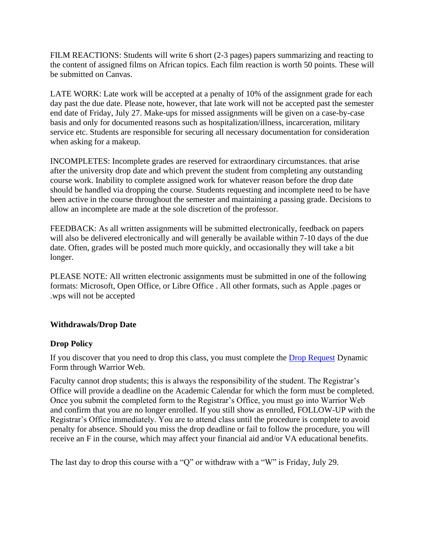FILM REACTIONS: Students will write 6 short (2-3 pages) papers summarizing and reacting to the content of assigned films on African topics. Each film reaction is worth 50 points. These will be submitted on Canvas.

LATE WORK: Late work will be accepted at a penalty of 10% of the assignment grade for each day past the due date. Please note, however, that late work will not be accepted past the semester end date of Friday, July 27. Make-ups for missed assignments will be given on a case-by-case basis and only for documented reasons such as hospitalization/illness, incarceration, military service etc. Students are responsible for securing all necessary documentation for consideration when asking for a makeup.

INCOMPLETES: Incomplete grades are reserved for extraordinary circumstances. that arise after the university drop date and which prevent the student from completing any outstanding course work. Inability to complete assigned work for whatever reason before the drop date should be handled via dropping the course. Students requesting and incomplete need to be have been active in the course throughout the semester and maintaining a passing grade. Decisions to allow an incomplete are made at the sole discretion of the professor.

FEEDBACK: As all written assignments will be submitted electronically, feedback on papers will also be delivered electronically and will generally be available within 7-10 days of the due date. Often, grades will be posted much more quickly, and occasionally they will take a bit longer.

PLEASE NOTE: All written electronic assignments must be submitted in one of the following formats: Microsoft, Open Office, or Libre Office . All other formats, such as Apple .pages or .wps will not be accepted

# **Withdrawals/Drop Date**

# **Drop Policy**

If you discover that you need to drop this class, you must complete the [Drop Request](https://federation.ngwebsolutions.com/sp/startSSO.ping?PartnerIdpId=https://eis-prod.ec.tamuct.edu:443/samlsso&SpSessionAuthnAdapterId=tamuctDF&TargetResource=https%3a%2f%2fdynamicforms.ngwebsolutions.com%2fSubmit%2fStart%2f53b8369e-0502-4f36-be43-f02a4202f612) Dynamic Form through Warrior Web.

Faculty cannot drop students; this is always the responsibility of the student. The Registrar's Office will provide a deadline on the Academic Calendar for which the form must be completed. Once you submit the completed form to the Registrar's Office, you must go into Warrior Web and confirm that you are no longer enrolled. If you still show as enrolled, FOLLOW-UP with the Registrar's Office immediately. You are to attend class until the procedure is complete to avoid penalty for absence. Should you miss the drop deadline or fail to follow the procedure, you will receive an F in the course, which may affect your financial aid and/or VA educational benefits.

The last day to drop this course with a "Q" or withdraw with a "W" is Friday, July 29.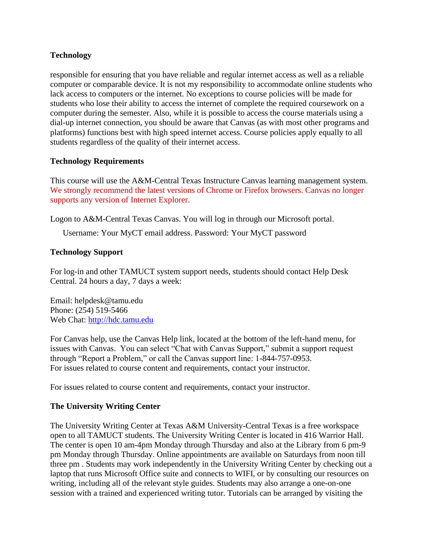# **Technology**

responsible for ensuring that you have reliable and regular internet access as well as a reliable computer or comparable device. It is not my responsibility to accommodate online students who lack access to computers or the internet. No exceptions to course policies will be made for students who lose their ability to access the internet of complete the required coursework on a computer during the semester. Also, while it is possible to access the course materials using a dial-up internet connection, you should be aware that Canvas (as with most other programs and platforms) functions best with high speed internet access. Course policies apply equally to all students regardless of the quality of their internet access.

### **Technology Requirements**

This course will use the A&M-Central Texas Instructure Canvas learning management system. We strongly recommend the latest versions of Chrome or Firefox browsers. Canvas no longer supports any version of Internet Explorer.

Logon to A&M-Central Texas Canvas. You will log in through our Microsoft portal.

Username: Your MyCT email address. Password: Your MyCT password

### **Technology Support**

For log-in and other TAMUCT system support needs, students should contact Help Desk Central. 24 hours a day, 7 days a week:

Email: helpdesk@tamu.edu Phone: (254) 519-5466 Web Chat: [http://hdc.tamu.edu](http://hdc.tamu.edu/)

For Canvas help, use the Canvas Help link, located at the bottom of the left-hand menu, for issues with Canvas. You can select "Chat with Canvas Support," submit a support request through "Report a Problem," or call the Canvas support line: 1-844-757-0953. For issues related to course content and requirements, contact your instructor.

For issues related to course content and requirements, contact your instructor.

# **The University Writing Center**

The University Writing Center at Texas A&M University-Central Texas is a free workspace open to all TAMUCT students. The University Writing Center is located in 416 Warrior Hall. The center is open 10 am-4pm Monday through Thursday and also at the Library from 6 pm-9 pm Monday through Thursday. Online appointments are available on Saturdays from noon till three pm . Students may work independently in the University Writing Center by checking out a laptop that runs Microsoft Office suite and connects to WIFI, or by consulting our resources on writing, including all of the relevant style guides. Students may also arrange a one-on-one session with a trained and experienced writing tutor. Tutorials can be arranged by visiting the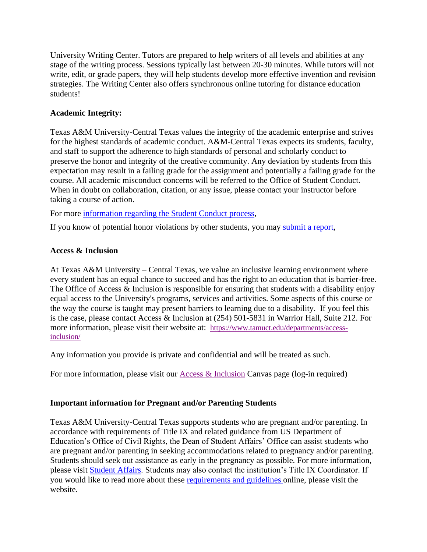University Writing Center. Tutors are prepared to help writers of all levels and abilities at any stage of the writing process. Sessions typically last between 20-30 minutes. While tutors will not write, edit, or grade papers, they will help students develop more effective invention and revision strategies. The Writing Center also offers synchronous online tutoring for distance education students!

# **Academic Integrity:**

Texas A&M University-Central Texas values the integrity of the academic enterprise and strives for the highest standards of academic conduct. A&M-Central Texas expects its students, faculty, and staff to support the adherence to high standards of personal and scholarly conduct to preserve the honor and integrity of the creative community. Any deviation by students from this expectation may result in a failing grade for the assignment and potentially a failing grade for the course. All academic misconduct concerns will be referred to the Office of Student Conduct. When in doubt on collaboration, citation, or any issue, please contact your instructor before taking a course of action.

For more [information](https://nam04.safelinks.protection.outlook.com/?url=https%3A%2F%2Fwww.tamuct.edu%2Fstudent-affairs%2Fstudent-conduct.html&data=04%7C01%7Clisa.bunkowski%40tamuct.edu%7Ccfb6e486f24745f53e1a08d910055cb2%7C9eed4e3000f744849ff193ad8005acec%7C0%7C0%7C637558437485252160%7CUnknown%7CTWFpbGZsb3d8eyJWIjoiMC4wLjAwMDAiLCJQIjoiV2luMzIiLCJBTiI6Ik1haWwiLCJXVCI6Mn0%3D%7C1000&sdata=yjftDEVHvLX%2FhM%2FcFU0B99krV1RgEWR%2BJ%2BhvtoR6TYk%3D&reserved=0) regarding the Student Conduct process,

If you know of potential honor violations by other students, you may [submit](https://nam04.safelinks.protection.outlook.com/?url=https%3A%2F%2Fcm.maxient.com%2Freportingform.php%3FTAMUCentralTexas%26layout_id%3D0&data=04%7C01%7Clisa.bunkowski%40tamuct.edu%7Ccfb6e486f24745f53e1a08d910055cb2%7C9eed4e3000f744849ff193ad8005acec%7C0%7C0%7C637558437485262157%7CUnknown%7CTWFpbGZsb3d8eyJWIjoiMC4wLjAwMDAiLCJQIjoiV2luMzIiLCJBTiI6Ik1haWwiLCJXVCI6Mn0%3D%7C1000&sdata=CXGkOa6uPDPX1IMZ87z3aZDq2n91xfHKu4MMS43Ejjk%3D&reserved=0) a report,

# **Access & Inclusion**

At Texas A&M University – Central Texas, we value an inclusive learning environment where every student has an equal chance to succeed and has the right to an education that is barrier-free. The Office of Access & Inclusion is responsible for ensuring that students with a disability enjoy equal access to the University's programs, services and activities. Some aspects of this course or the way the course is taught may present barriers to learning due to a disability. If you feel this is the case, please contact Access & Inclusion at (254) 501-5831 in Warrior Hall, Suite 212. For more information, please visit their website at: [https://www.tamuct.edu/departments/access](https://www.tamuct.edu/departments/access-inclusion/)[inclusion/](https://www.tamuct.edu/departments/access-inclusion/) 

Any information you provide is private and confidential and will be treated as such.

For more information, please visit our **Access & Inclusion Canvas page (log-in required)** 

# **Important information for Pregnant and/or Parenting Students**

Texas A&M University-Central Texas supports students who are pregnant and/or parenting. In accordance with requirements of Title IX and related guidance from US Department of Education's Office of Civil Rights, the Dean of Student Affairs' Office can assist students who are pregnant and/or parenting in seeking accommodations related to pregnancy and/or parenting. Students should seek out assistance as early in the pregnancy as possible. For more information, please visit [Student Affairs.](https://www.tamuct.edu/student-affairs/index.html) Students may also contact the institution's Title IX Coordinator. If you would like to read more about these [requirements and guidelines](http://www2.ed.gov/about/offices/list/ocr/docs/pregnancy.pdf) online, please visit the website.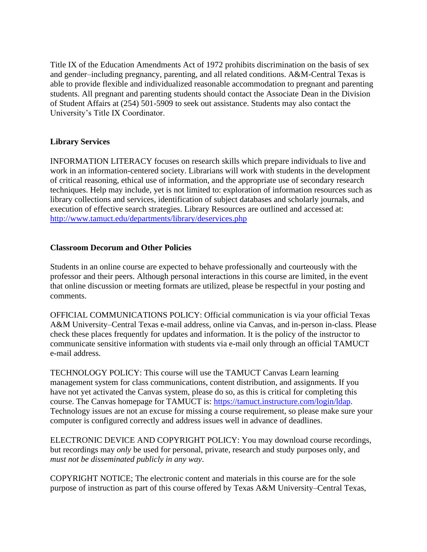Title IX of the Education Amendments Act of 1972 prohibits discrimination on the basis of sex and gender–including pregnancy, parenting, and all related conditions. A&M-Central Texas is able to provide flexible and individualized reasonable accommodation to pregnant and parenting students. All pregnant and parenting students should contact the Associate Dean in the Division of Student Affairs at (254) 501-5909 to seek out assistance. Students may also contact the University's Title IX Coordinator.

### **Library Services**

INFORMATION LITERACY focuses on research skills which prepare individuals to live and work in an information-centered society. Librarians will work with students in the development of critical reasoning, ethical use of information, and the appropriate use of secondary research techniques. Help may include, yet is not limited to: exploration of information resources such as library collections and services, identification of subject databases and scholarly journals, and execution of effective search strategies. Library Resources are outlined and accessed at: <http://www.tamuct.edu/departments/library/deservices.php>

#### **Classroom Decorum and Other Policies**

Students in an online course are expected to behave professionally and courteously with the professor and their peers. Although personal interactions in this course are limited, in the event that online discussion or meeting formats are utilized, please be respectful in your posting and comments.

OFFICIAL COMMUNICATIONS POLICY: Official communication is via your official Texas A&M University–Central Texas e-mail address, online via Canvas, and in-person in-class. Please check these places frequently for updates and information. It is the policy of the instructor to communicate sensitive information with students via e-mail only through an official TAMUCT e-mail address.

TECHNOLOGY POLICY: This course will use the TAMUCT Canvas Learn learning management system for class communications, content distribution, and assignments. If you have not yet activated the Canvas system, please do so, as this is critical for completing this course. The Canvas homepage for TAMUCT is: [https://tamuct.instructure.com/login/ldap.](https://tamuct.instructure.com/login/ldap) Technology issues are not an excuse for missing a course requirement, so please make sure your computer is configured correctly and address issues well in advance of deadlines.

ELECTRONIC DEVICE AND COPYRIGHT POLICY: You may download course recordings, but recordings may *only* be used for personal, private, research and study purposes only, and *must not be disseminated publicly in any way*.

COPYRIGHT NOTICE; The electronic content and materials in this course are for the sole purpose of instruction as part of this course offered by Texas A&M University–Central Texas,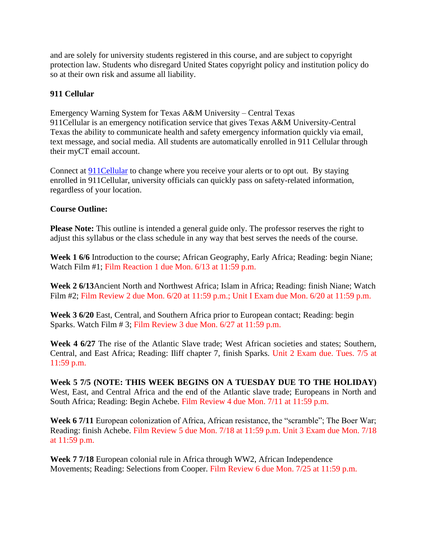and are solely for university students registered in this course, and are subject to copyright protection law. Students who disregard United States copyright policy and institution policy do so at their own risk and assume all liability.

### **911 Cellular**

Emergency Warning System for Texas A&M University – Central Texas 911Cellular is an emergency notification service that gives Texas A&M University-Central Texas the ability to communicate health and safety emergency information quickly via email, text message, and social media. All students are automatically enrolled in 911 Cellular through their myCT email account.

Connect at **911Cellular** to change where you receive your alerts or to opt out. By staying enrolled in 911Cellular, university officials can quickly pass on safety-related information, regardless of your location.

#### **Course Outline:**

**Please Note:** This outline is intended a general guide only. The professor reserves the right to adjust this syllabus or the class schedule in any way that best serves the needs of the course.

**Week 1 6/6** Introduction to the course; African Geography, Early Africa; Reading: begin Niane; Watch Film #1; Film Reaction 1 due Mon. 6/13 at 11:59 p.m.

**Week 2 6/13**Ancient North and Northwest Africa; Islam in Africa; Reading: finish Niane; Watch Film #2; Film Review 2 due Mon. 6/20 at 11:59 p.m.; Unit I Exam due Mon. 6/20 at 11:59 p.m.

**Week 3 6/20** East, Central, and Southern Africa prior to European contact; Reading: begin Sparks. Watch Film # 3; Film Review 3 due Mon. 6/27 at 11:59 p.m.

**Week 4 6/27** The rise of the Atlantic Slave trade; West African societies and states; Southern, Central, and East Africa; Reading: Iliff chapter 7, finish Sparks. Unit 2 Exam due. Tues. 7/5 at 11:59 p.m.

**Week 5 7/5 (NOTE: THIS WEEK BEGINS ON A TUESDAY DUE TO THE HOLIDAY)** West, East, and Central Africa and the end of the Atlantic slave trade; Europeans in North and South Africa; Reading: Begin Achebe. Film Review 4 due Mon. 7/11 at 11:59 p.m.

**Week 6 7/11** European colonization of Africa, African resistance, the "scramble"; The Boer War; Reading: finish Achebe. Film Review 5 due Mon. 7/18 at 11:59 p.m. Unit 3 Exam due Mon. 7/18 at 11:59 p.m.

**Week 7 7/18** European colonial rule in Africa through WW2, African Independence Movements; Reading: Selections from Cooper. Film Review 6 due Mon. 7/25 at 11:59 p.m.